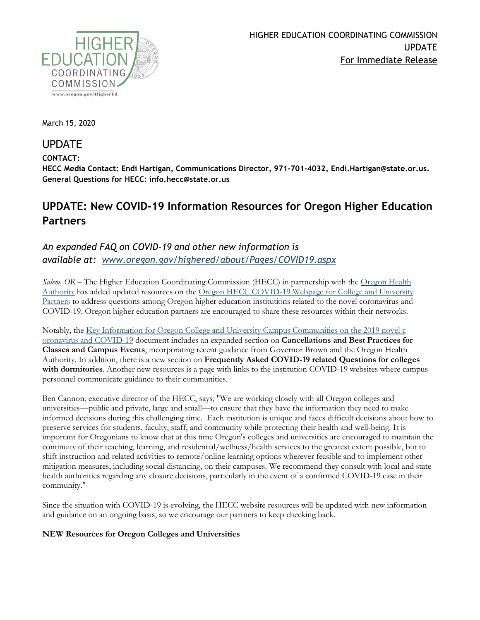

March 15, 2020

## UPDATE

### **CONTACT:**

**HECC Media Contact: Endi Hartigan, Communications Director, 971-701-4032, Endi.Hartigan@state.or.us. General Questions for HECC: info.hecc@state.or.us**

# **UPDATE: New COVID-19 Information Resources for Oregon Higher Education Partners**

### *An expanded FAQ on COVID-19 and other new information is available at: [www.oregon.gov/highered/about/Pages/COVID19.aspx](https://www.oregon.gov/highered/about/Pages/COVID19.aspx)*

*Salem, OR* – The Higher Education Coordinating Commission (HECC) in partnership with the Oregon Health [Authority](https://www.oregon.gov/oha/PH/DISEASESCONDITIONS/DISEASESAZ/Pages/emerging-respiratory-infections.aspx) has added updated resources on the [Oregon HECC COVID-19 Webpage for College and University](https://www.oregon.gov/highered/about/Pages/COVID19.aspx)  [Partners](https://www.oregon.gov/highered/about/Pages/COVID19.aspx) to address questions among Oregon higher education institutions related to the novel coronavirus and COVID-19. Oregon higher education partners are encouraged to share these resources within their networks.

Notably, the [Key Information for Oregon College and University Campus Communities on the 2019 novel c](https://www.oregon.gov/highered/about/Documents/News-Updates/FAQ-Higher-Ed-COVID-3-13-20-final.pdf) [oronavirus and COVID-19](https://www.oregon.gov/highered/about/Documents/News-Updates/FAQ-Higher-Ed-COVID-3-13-20-final.pdf) document includes an expanded section on **Cancellations and Best Practices for Classes and Campus Events**, incorporating recent guidance from Governor Brown and the Oregon Health Authority. In addition, there is a new section on **Frequently Asked COVID-19 related Questions for colleges with dormitories**. Another new resources is a page with links to the institution COVID-19 websites where campus personnel communicate guidance to their communities.

Ben Cannon, executive director of the HECC, says, "We are working closely with all Oregon colleges and universities—public and private, large and small—to ensure that they have the information they need to make informed decisions during this challenging time. Each institution is unique and faces difficult decisions about how to preserve services for students, faculty, staff, and community while protecting their health and well-being. It is important for Oregonians to know that at this time Oregon's colleges and universities are encouraged to maintain the continuity of their teaching, learning, and residential/wellness/health services to the greatest extent possible, but to shift instruction and related activities to remote/online learning options wherever feasible and to implement other mitigation measures, including social distancing, on their campuses. We recommend they consult with local and state health authorities regarding any closure decisions, particularly in the event of a confirmed COVID-19 case in their community."

Since the situation with COVID-19 is evolving, the HECC website resources will be updated with new information and guidance on an ongoing basis, so we encourage our partners to keep checking back.

#### **NEW Resources for Oregon Colleges and Universities**